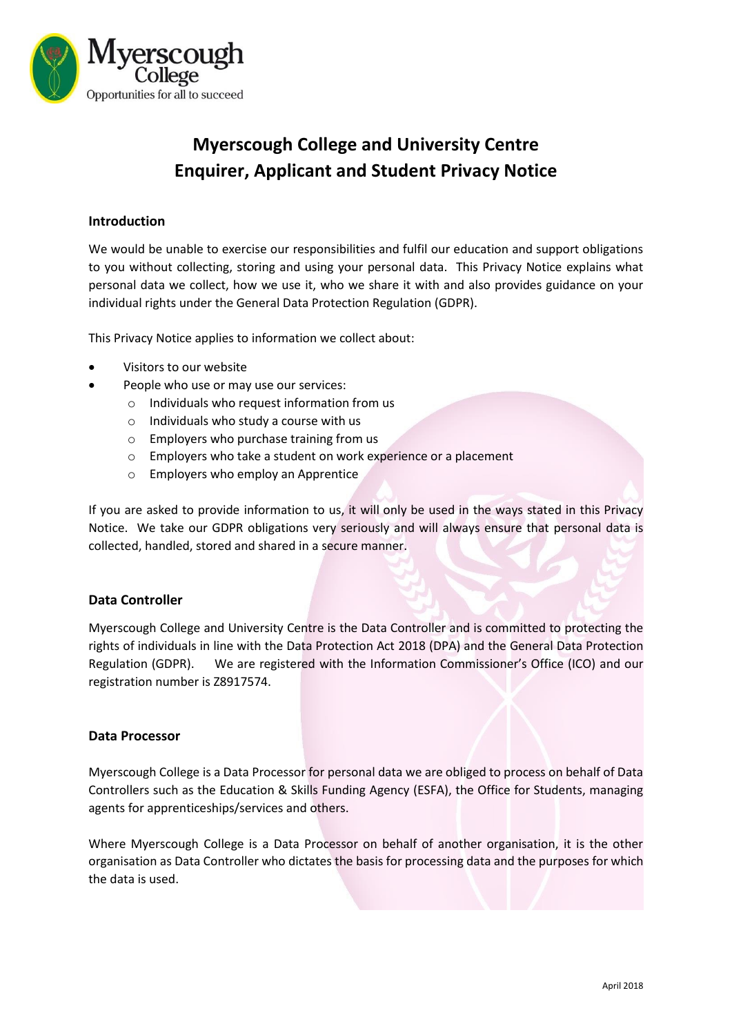

# **Myerscough College and University Centre Enquirer, Applicant and Student Privacy Notice**

## **Introduction**

We would be unable to exercise our responsibilities and fulfil our education and support obligations to you without collecting, storing and using your personal data. This Privacy Notice explains what personal data we collect, how we use it, who we share it with and also provides guidance on your individual rights under the General Data Protection Regulation (GDPR).

This Privacy Notice applies to information we collect about:

- Visitors to our website
- People who use or may use our services:
	- o Individuals who request information from us
	- $\circ$  Individuals who study a course with us
	- o Employers who purchase training from us
	- o Employers who take a student on work experience or a placement
	- o Employers who employ an Apprentice

If you are asked to provide information to us, it will only be used in the ways stated in this Privacy Notice. We take our GDPR obligations very seriously and will always ensure that personal data is collected, handled, stored and shared in a secure manner.

#### **Data Controller**

Myerscough College and University Centre is the Data Controller and is committed to protecting the rights of individuals in line with the Data Protection Act 2018 (DPA) and the General Data Protection Regulation (GDPR). We are registered with the Information Commissioner's Office (ICO) and our registration number is Z8917574.

#### **Data Processor**

Myerscough College is a Data Processor for personal data we are obliged to process on behalf of Data Controllers such as the Education & Skills Funding Agency (ESFA), the Office for Students, managing agents for apprenticeships/services and others.

Where Myerscough College is a Data Processor on behalf of another organisation, it is the other organisation as Data Controller who dictates the basis for processing data and the purposes for which the data is used.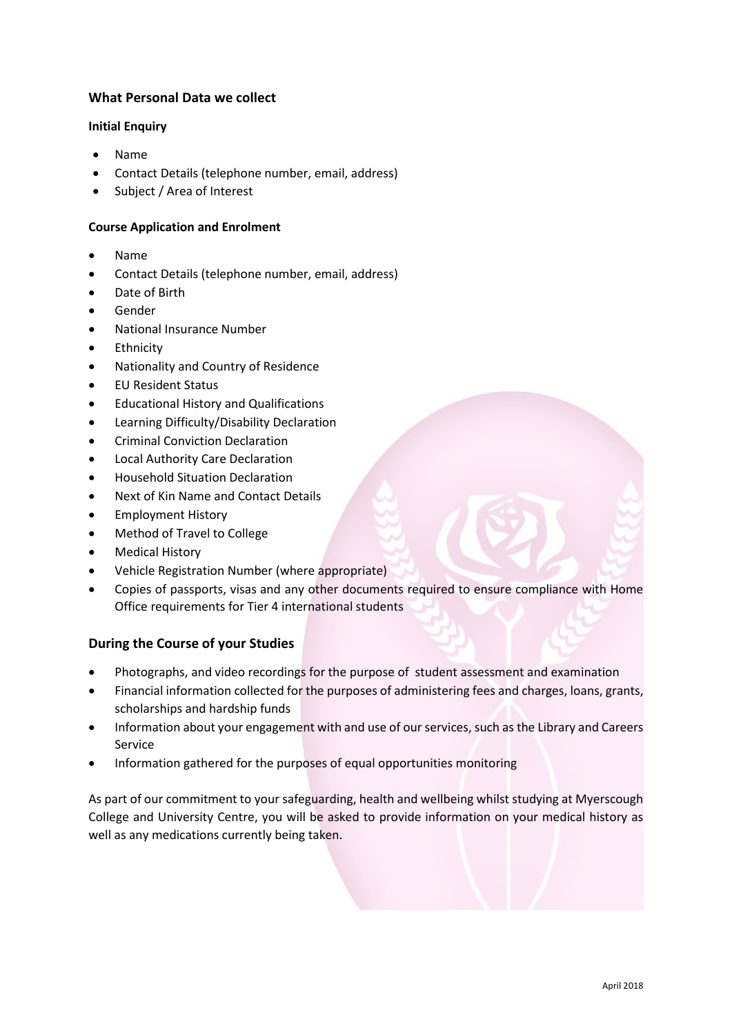# **What Personal Data we collect**

## **Initial Enquiry**

- Name
- Contact Details (telephone number, email, address)
- Subject / Area of Interest

# **Course Application and Enrolment**

- Name
- Contact Details (telephone number, email, address)
- Date of Birth
- Gender
- National Insurance Number
- Ethnicity
- Nationality and Country of Residence
- EU Resident Status
- Educational History and Qualifications
- Learning Difficulty/Disability Declaration
- Criminal Conviction Declaration
- Local Authority Care Declaration
- Household Situation Declaration
- Next of Kin Name and Contact Details
- **•** Employment History
- Method of Travel to College
- Medical History
- Vehicle Registration Number (where appropriate)
- Copies of passports, visas and any other documents required to ensure compliance with Home Office requirements for Tier 4 international students

# **During the Course of your Studies**

- Photographs, and video recordings for the purpose of student assessment and examination
- Financial information collected for the purposes of administering fees and charges, loans, grants, scholarships and hardship funds
- Information about your engagement with and use of our services, such as the Library and Careers Service
- Information gathered for the purposes of equal opportunities monitoring

As part of our commitment to your safeguarding, health and wellbeing whilst studying at Myerscough College and University Centre, you will be asked to provide information on your medical history as well as any medications currently being taken.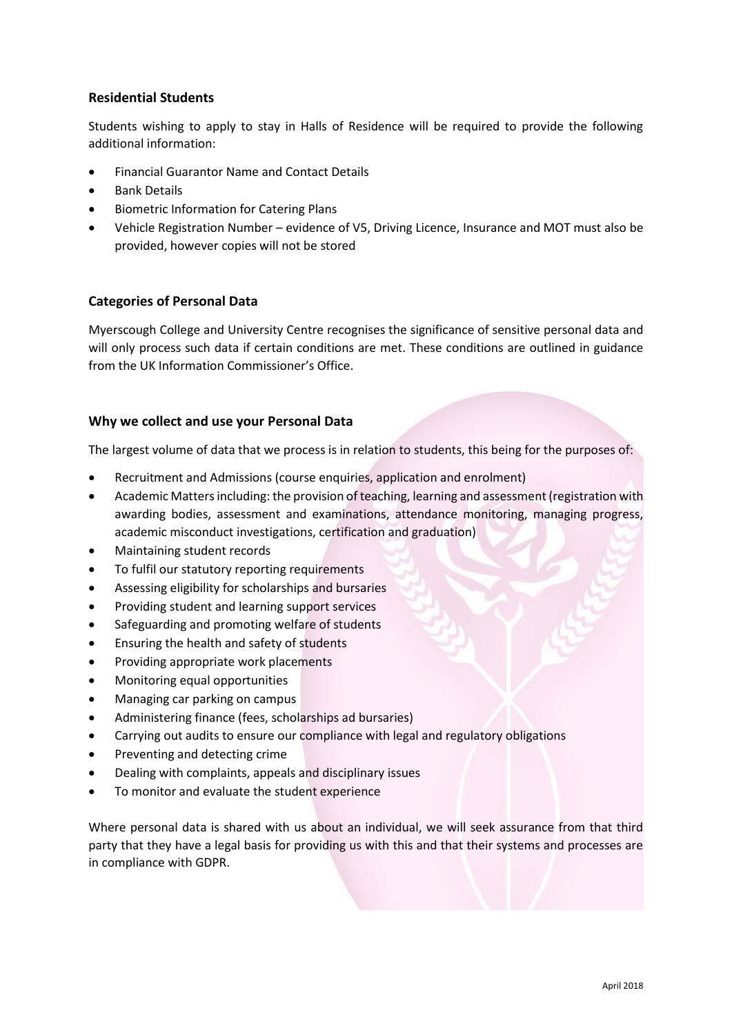# **Residential Students**

Students wishing to apply to stay in Halls of Residence will be required to provide the following additional information:

- Financial Guarantor Name and Contact Details
- Bank Details
- Biometric Information for Catering Plans
- Vehicle Registration Number evidence of V5, Driving Licence, Insurance and MOT must also be provided, however copies will not be stored

## **Categories of Personal Data**

Myerscough College and University Centre recognises the significance of sensitive personal data and will only process such data if certain conditions are met. These conditions are outlined in guidance from the UK Information Commissioner's Office.

## **Why we collect and use your Personal Data**

The largest volume of data that we process is in relation to students, this being for the purposes of:

- Recruitment and Admissions (course enquiries, application and enrolment)
- Academic Matters including: the provision of teaching, learning and assessment (registration with awarding bodies, assessment and examinations, attendance monitoring, managing progress, academic misconduct investigations, certification and graduation)
- Maintaining student records
- To fulfil our statutory reporting requirements
- Assessing eligibility for scholarships and bursaries
- Providing student and learning support services
- Safeguarding and promoting welfare of students
- **•** Ensuring the health and safety of students
- Providing appropriate work placements
- Monitoring equal opportunities
- Managing car parking on campus
- Administering finance (fees, scholarships ad bursaries)
- Carrying out audits to ensure our compliance with legal and regulatory obligations
- Preventing and detecting crime
- Dealing with complaints, appeals and disciplinary issues
- To monitor and evaluate the student experience

Where personal data is shared with us about an individual, we will seek assurance from that third party that they have a legal basis for providing us with this and that their systems and processes are in compliance with GDPR.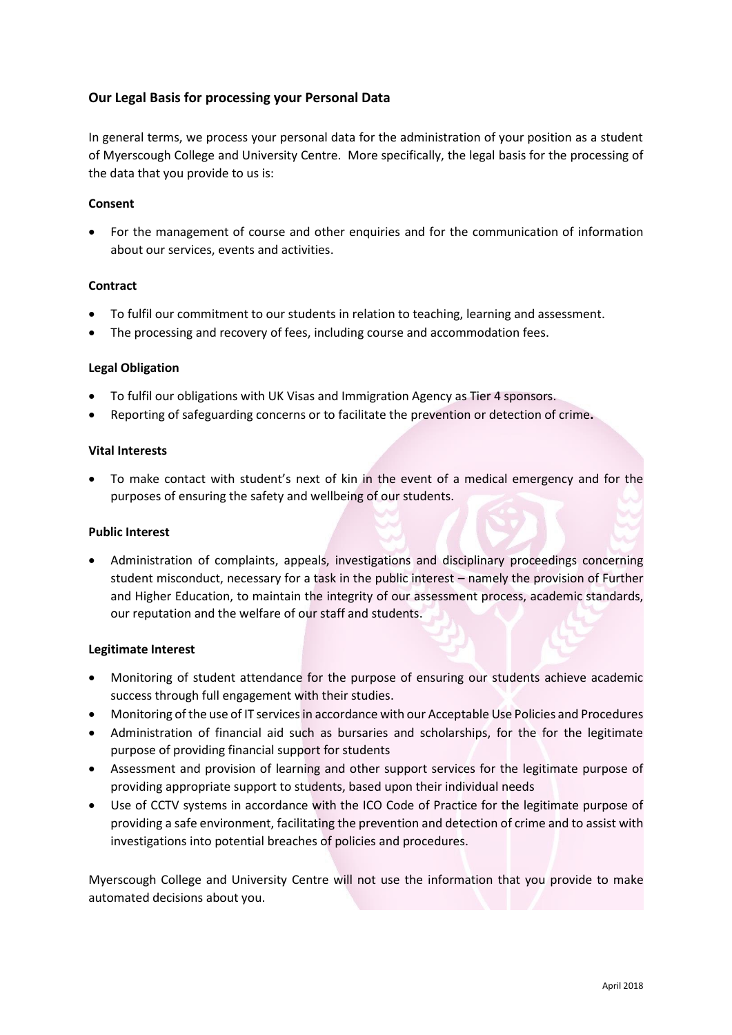# **Our Legal Basis for processing your Personal Data**

In general terms, we process your personal data for the administration of your position as a student of Myerscough College and University Centre. More specifically, the legal basis for the processing of the data that you provide to us is:

#### **Consent**

 For the management of course and other enquiries and for the communication of information about our services, events and activities.

#### **Contract**

- To fulfil our commitment to our students in relation to teaching, learning and assessment.
- The processing and recovery of fees, including course and accommodation fees.

#### **Legal Obligation**

- To fulfil our obligations with UK Visas and Immigration Agency as Tier 4 sponsors.
- Reporting of safeguarding concerns or to facilitate the prevention or detection of crime**.**

#### **Vital Interests**

 To make contact with student's next of kin in the event of a medical emergency and for the purposes of ensuring the safety and wellbeing of our students.

#### **Public Interest**

 Administration of complaints, appeals, investigations and disciplinary proceedings concerning student misconduct, necessary for a task in the public interest – namely the provision of Further and Higher Education, to maintain the integrity of our assessment process, academic standards, our reputation and the welfare of our staff and students.

#### **Legitimate Interest**

- Monitoring of student attendance for the purpose of ensuring our students achieve academic success through full engagement with their studies.
- Monitoring of the use of IT services in accordance with our Acceptable Use Policies and Procedures
- Administration of financial aid such as bursaries and scholarships, for the for the legitimate purpose of providing financial support for students
- Assessment and provision of learning and other support services for the legitimate purpose of providing appropriate support to students, based upon their individual needs
- Use of CCTV systems in accordance with the ICO Code of Practice for the legitimate purpose of providing a safe environment, facilitating the prevention and detection of crime and to assist with investigations into potential breaches of policies and procedures.

Myerscough College and University Centre will not use the information that you provide to make automated decisions about you.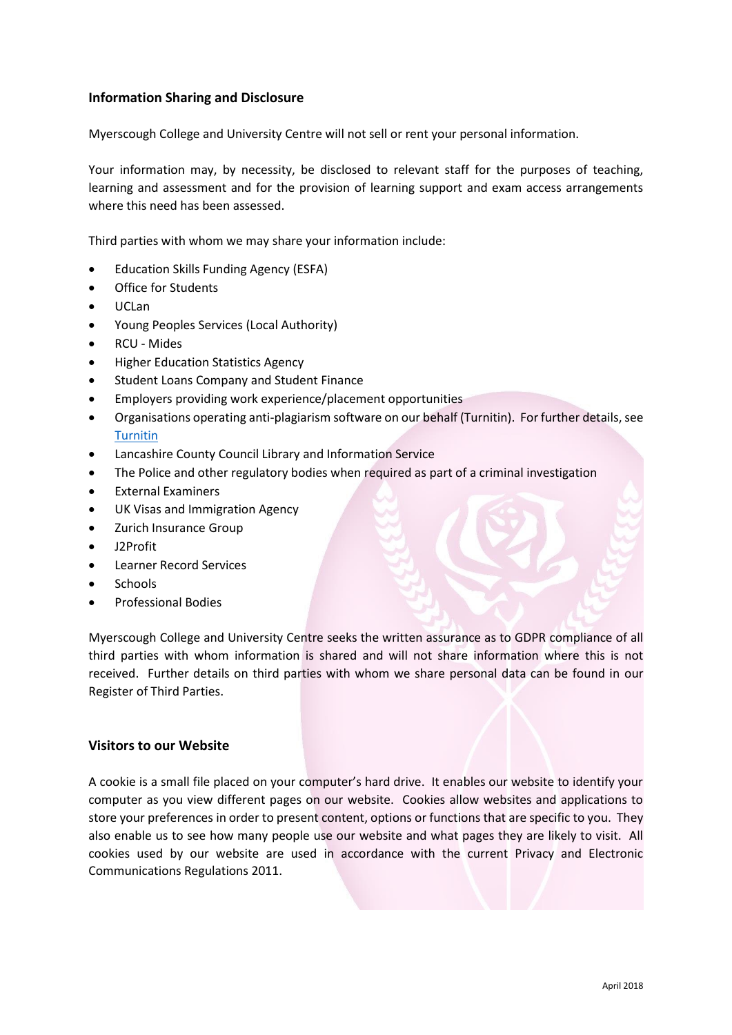# **Information Sharing and Disclosure**

Myerscough College and University Centre will not sell or rent your personal information.

Your information may, by necessity, be disclosed to relevant staff for the purposes of teaching, learning and assessment and for the provision of learning support and exam access arrangements where this need has been assessed.

Third parties with whom we may share your information include:

- Education Skills Funding Agency (ESFA)
- Office for Students
- UCLan
- Young Peoples Services (Local Authority)
- RCU Mides
- Higher Education Statistics Agency
- Student Loans Company and Student Finance
- Employers providing work experience/placement opportunities
- Organisations operating anti-plagiarism software on our behalf (Turnitin). For further details, see [Turnitin](http://turnitin.com/en_us/about-us/privacy#policy)
- Lancashire County Council Library and Information Service
- The Police and other regulatory bodies when required as part of a criminal investigation
- External Examiners
- UK Visas and Immigration Agency
- Zurich Insurance Group
- J2Profit
- Learner Record Services
- **Schools**
- Professional Bodies

Myerscough College and University Centre seeks the written assurance as to GDPR compliance of all third parties with whom information is shared and will not share information where this is not received. Further details on third parties with whom we share personal data can be found in our Register of Third Parties.

### **Visitors to our Website**

A cookie is a small file placed on your computer's hard drive. It enables our website to identify your computer as you view different pages on our website. Cookies allow websites and applications to store your preferences in order to present content, options or functions that are specific to you. They also enable us to see how many people use our website and what pages they are likely to visit. All cookies used by our website are used in accordance with the current Privacy and Electronic Communications Regulations 2011.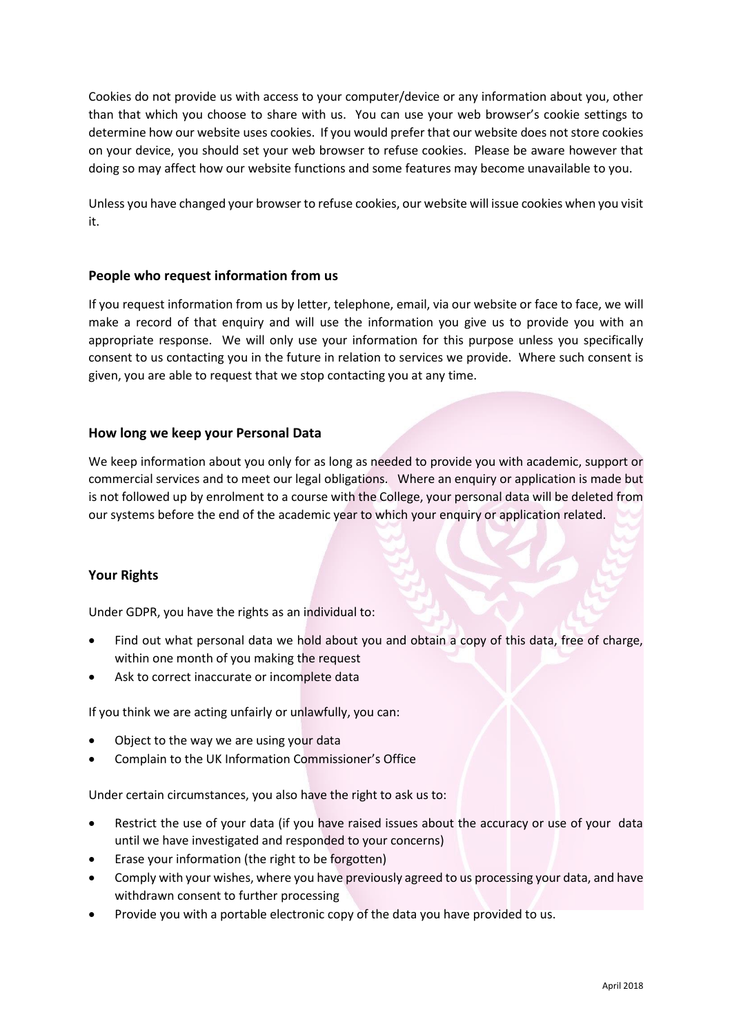Cookies do not provide us with access to your computer/device or any information about you, other than that which you choose to share with us. You can use your web browser's cookie settings to determine how our website uses cookies. If you would prefer that our website does not store cookies on your device, you should set your web browser to refuse cookies. Please be aware however that doing so may affect how our website functions and some features may become unavailable to you.

Unless you have changed your browser to refuse cookies, our website will issue cookies when you visit it.

## **People who request information from us**

If you request information from us by letter, telephone, email, via our website or face to face, we will make a record of that enquiry and will use the information you give us to provide you with an appropriate response. We will only use your information for this purpose unless you specifically consent to us contacting you in the future in relation to services we provide. Where such consent is given, you are able to request that we stop contacting you at any time.

## **How long we keep your Personal Data**

We keep information about you only for as long as needed to provide you with academic, support or commercial services and to meet our legal obligations. Where an enquiry or application is made but is not followed up by enrolment to a course with the College, your personal data will be deleted from our systems before the end of the academic year to which your enquiry or application related.

# **Your Rights**

Under GDPR, you have the rights as an individual to:

- Find out what personal data we hold about you and obtain a copy of this data, free of charge, within one month of you making the request
- Ask to correct inaccurate or incomplete data

If you think we are acting unfairly or unlawfully, you can:

- Object to the way we are using your data
- Complain to the [UK Information Commissioner's Office](https://ico.org.uk/)

Under certain circumstances, you also have the right to ask us to:

- Restrict the use of your data (if you have raised issues about the accuracy or use of your data until we have investigated and responded to your concerns)
- Erase your information (the right to be forgotten)
- Comply with your wishes, where you have previously agreed to us processing your data, and have withdrawn consent to further processing
- Provide you with a portable electronic copy of the data you have provided to us.